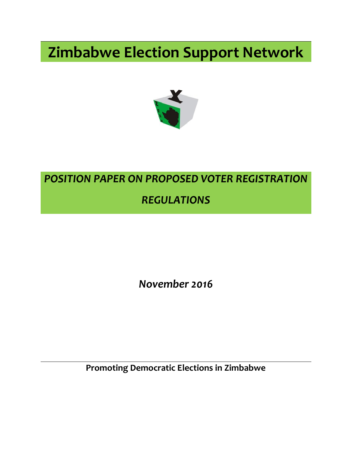# **Zimbabwe Election Support Network**



## *POSITION PAPER ON PROPOSED VOTER REGISTRATION REGULATIONS*

*November 2016*

**Promoting Democratic Elections in Zimbabwe**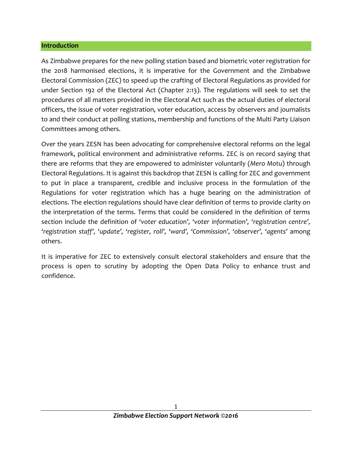#### **Introduction**

As Zimbabwe prepares for the new polling station based and biometric voter registration for the 2018 harmonised elections, it is imperative for the Government and the Zimbabwe Electoral Commission (ZEC) to speed up the crafting of Electoral Regulations as provided for under Section 192 of the Electoral Act (Chapter 2:13). The regulations will seek to set the procedures of all matters provided in the Electoral Act such as the actual duties of electoral officers, the issue of voter registration, voter education, access by observers and journalists to and their conduct at polling stations, membership and functions of the Multi Party Liaison Committees among others.

Over the years ZESN has been advocating for comprehensive electoral reforms on the legal framework, political environment and administrative reforms. ZEC is on record saying that there are reforms that they are empowered to administer voluntarily (*Mero Motu*) through Electoral Regulations. It is against this backdrop that ZESN is calling for ZEC and government to put in place a transparent, credible and inclusive process in the formulation of the Regulations for voter registration which has a huge bearing on the administration of elections. The election regulations should have clear definition of terms to provide clarity on the interpretation of the terms. Terms that could be considered in the definition of terms section include the definition of '*voter education', 'voter information', 'registration centre', 'registration staff', 'update', 'register, roll', 'ward', 'Commission', 'observer', 'agents'* among others.

It is imperative for ZEC to extensively consult electoral stakeholders and ensure that the process is open to scrutiny by adopting the Open Data Policy to enhance trust and confidence.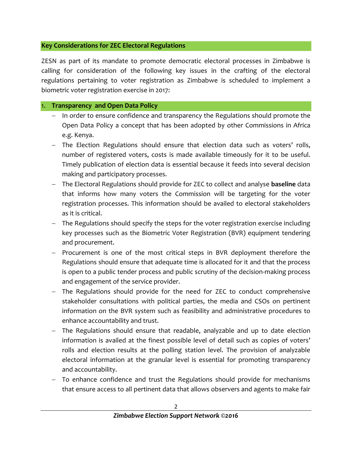#### **Key Considerations for ZEC Electoral Regulations**

ZESN as part of its mandate to promote democratic electoral processes in Zimbabwe is calling for consideration of the following key issues in the crafting of the electoral regulations pertaining to voter registration as Zimbabwe is scheduled to implement a biometric voter registration exercise in 2017:

## 1. **Transparency and Open Data Policy**

- In order to ensure confidence and transparency the Regulations should promote the Open Data Policy a concept that has been adopted by other Commissions in Africa e.g. Kenya.
- The Election Regulations should ensure that election data such as voters' rolls, number of registered voters, costs is made available timeously for it to be useful. Timely publication of election data is essential because it feeds into several decision making and participatory processes.
- The Electoral Regulations should provide for ZEC to collect and analyse **baseline** data that informs how many voters the Commission will be targeting for the voter registration processes. This information should be availed to electoral stakeholders as it is critical.
- The Regulations should specify the steps for the voter registration exercise including key processes such as the Biometric Voter Registration (BVR) equipment tendering and procurement.
- Procurement is one of the most critical steps in BVR deployment therefore the Regulations should ensure that adequate time is allocated for it and that the process is open to a public tender process and public scrutiny of the decision-making process and engagement of the service provider.
- The Regulations should provide for the need for ZEC to conduct comprehensive stakeholder consultations with political parties, the media and CSOs on pertinent information on the BVR system such as feasibility and administrative procedures to enhance accountability and trust.
- The Regulations should ensure that readable, analyzable and up to date election information is availed at the finest possible level of detail such as copies of voters' rolls and election results at the polling station level. The provision of analyzable electoral information at the granular level is essential for promoting transparency and accountability.
- To enhance confidence and trust the Regulations should provide for mechanisms that ensure access to all pertinent data that allows observers and agents to make fair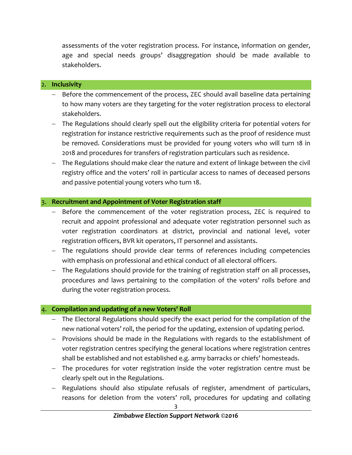assessments of the voter registration process. For instance, information on gender, age and special needs groups' disaggregation should be made available to stakeholders.

#### 2. **Inclusivity**

- Before the commencement of the process, ZEC should avail baseline data pertaining to how many voters are they targeting for the voter registration process to electoral stakeholders.
- The Regulations should clearly spell out the eligibility criteria for potential voters for registration for instance restrictive requirements such as the proof of residence must be removed. Considerations must be provided for young voters who will turn 18 in 2018 and procedures for transfers of registration particulars such as residence.
- The Regulations should make clear the nature and extent of linkage between the civil registry office and the voters' roll in particular access to names of deceased persons and passive potential young voters who turn 18.

#### 3. **Recruitment and Appointment of Voter Registration staff**

- Before the commencement of the voter registration process, ZEC is required to recruit and appoint professional and adequate voter registration personnel such as voter registration coordinators at district, provincial and national level, voter registration officers, BVR kit operators, IT personnel and assistants.
- The regulations should provide clear terms of references including competencies with emphasis on professional and ethical conduct of all electoral officers.
- The Regulations should provide for the training of registration staff on all processes, procedures and laws pertaining to the compilation of the voters' rolls before and during the voter registration process.

#### 4. **Compilation and updating of a new Voters' Roll**

- The Electoral Regulations should specify the exact period for the compilation of the new national voters' roll, the period for the updating, extension of updating period.
- Provisions should be made in the Regulations with regards to the establishment of voter registration centres specifying the general locations where registration centres shall be established and not established e.g. army barracks or chiefs' homesteads.
- The procedures for voter registration inside the voter registration centre must be clearly spelt out in the Regulations.
- Regulations should also stipulate refusals of register, amendment of particulars, reasons for deletion from the voters' roll, procedures for updating and collating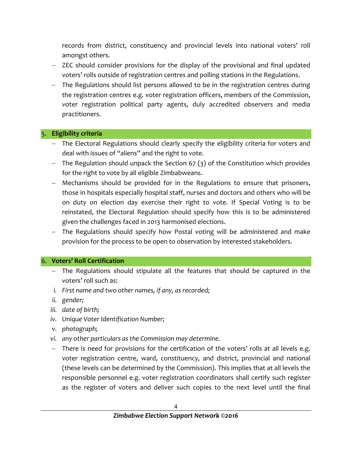records from district, constituency and provincial levels into national voters' roll amongst others.

- ZEC should consider provisions for the display of the provisional and final updated voters' rolls outside of registration centres and polling stations in the Regulations.
- The Regulations should list persons allowed to be in the registration centres during the registration centres e.g. voter registration officers, members of the Commission, voter registration political party agents, duly accredited observers and media practitioners.

## 5. **Eligibility criteria**

- The Electoral Regulations should clearly specify the eligibility criteria for voters and deal with issues of "aliens" and the right to vote.
- $-$  The Regulation should unpack the Section 67 (3) of the Constitution which provides for the right to vote by all eligible Zimbabweans.
- Mechanisms should be provided for in the Regulations to ensure that prisoners, those in hospitals especially hospital staff, nurses and doctors and others who will be on duty on election day exercise their right to vote. If Special Voting is to be reinstated, the Electoral Regulation should specify how this is to be administered given the challenges faced in 2013 harmonised elections.
- The Regulations should specify how Postal voting will be administered and make provision for the process to be open to observation by interested stakeholders.

## 6. **Voters' Roll Certification**

- The Regulations should stipulate all the features that should be captured in the voters' roll such as:
- *i. First name and two other names, if any, as recorded;*
- *ii. gender;*
- *iii. date of birth;*
- *iv. Unique Voter Identification Number;*
- *v. photograph;*
- *vi. any other particulars as the Commission may determine.*
- There is need for provisions for the certification of the voters' rolls at all levels e.g. voter registration centre, ward, constituency, and district, provincial and national (these levels can be determined by the Commission). This implies that at all levels the responsible personnel e.g. voter registration coordinators shall certify such register as the register of voters and deliver such copies to the next level until the final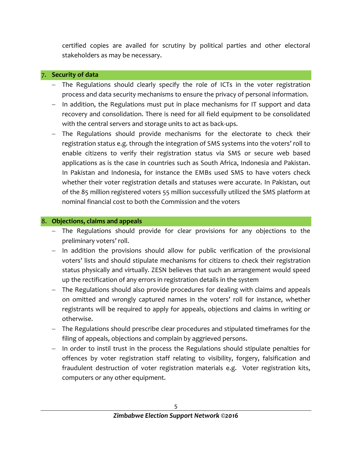certified copies are availed for scrutiny by political parties and other electoral stakeholders as may be necessary.

#### 7. **Security of data**

- The Regulations should clearly specify the role of ICTs in the voter registration process and data security mechanisms to ensure the privacy of personal information.
- In addition, the Regulations must put in place mechanisms for IT support and data recovery and consolidation. There is need for all field equipment to be consolidated with the central servers and storage units to act as back-ups.
- The Regulations should provide mechanisms for the electorate to check their registration status e.g. through the integration of SMS systems into the voters' roll to enable citizens to verify their registration status via SMS or secure web based applications as is the case in countries such as South Africa, Indonesia and Pakistan. In Pakistan and Indonesia, for instance the EMBs used SMS to have voters check whether their voter registration details and statuses were accurate. In Pakistan, out of the 85 million registered voters 55 million successfully utilized the SMS platform at nominal financial cost to both the Commission and the voters

## 8. **Objections, claims and appeals**

- The Regulations should provide for clear provisions for any objections to the preliminary voters' roll.
- In addition the provisions should allow for public verification of the provisional voters' lists and should stipulate mechanisms for citizens to check their registration status physically and virtually. ZESN believes that such an arrangement would speed up the rectification of any errors in registration details in the system
- The Regulations should also provide procedures for dealing with claims and appeals on omitted and wrongly captured names in the voters' roll for instance, whether registrants will be required to apply for appeals, objections and claims in writing or otherwise.
- The Regulations should prescribe clear procedures and stipulated timeframes for the filing of appeals, objections and complain by aggrieved persons.
- In order to instil trust in the process the Regulations should stipulate penalties for offences by voter registration staff relating to visibility, forgery, falsification and fraudulent destruction of voter registration materials e.g. Voter registration kits, computers or any other equipment.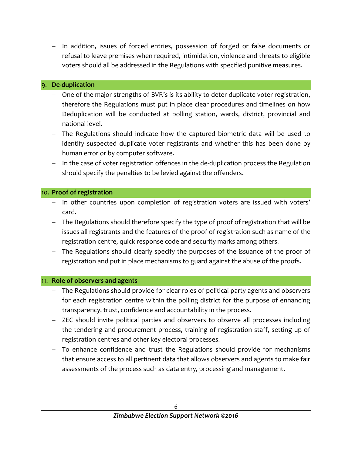- In addition, issues of forced entries, possession of forged or false documents or refusal to leave premises when required, intimidation, violence and threats to eligible voters should all be addressed in the Regulations with specified punitive measures.

## 9. **De-duplication**

- One of the major strengths of BVR's is its ability to deter duplicate voter registration, therefore the Regulations must put in place clear procedures and timelines on how Deduplication will be conducted at polling station, wards, district, provincial and national level.
- The Regulations should indicate how the captured biometric data will be used to identify suspected duplicate voter registrants and whether this has been done by human error or by computer software.
- In the case of voter registration offences in the de-duplication process the Regulation should specify the penalties to be levied against the offenders.

## 10. **Proof of registration**

- In other countries upon completion of registration voters are issued with voters' card.
- The Regulations should therefore specify the type of proof of registration that will be issues all registrants and the features of the proof of registration such as name of the registration centre, quick response code and security marks among others.
- The Regulations should clearly specify the purposes of the issuance of the proof of registration and put in place mechanisms to guard against the abuse of the proofs.

## 11. **Role of observers and agents**

- The Regulations should provide for clear roles of political party agents and observers for each registration centre within the polling district for the purpose of enhancing transparency, trust, confidence and accountability in the process.
- ZEC should invite political parties and observers to observe all processes including the tendering and procurement process, training of registration staff, setting up of registration centres and other key electoral processes.
- To enhance confidence and trust the Regulations should provide for mechanisms that ensure access to all pertinent data that allows observers and agents to make fair assessments of the process such as data entry, processing and management.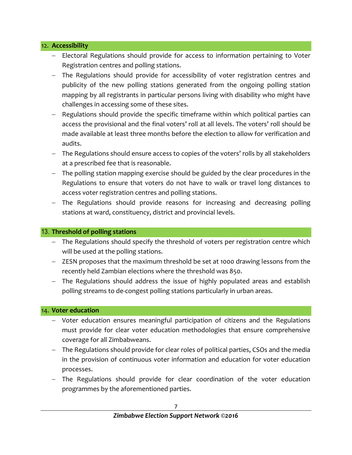#### 12. **Accessibility**

- Electoral Regulations should provide for access to information pertaining to Voter Registration centres and polling stations.
- The Regulations should provide for accessibility of voter registration centres and publicity of the new polling stations generated from the ongoing polling station mapping by all registrants in particular persons living with disability who might have challenges in accessing some of these sites.
- Regulations should provide the specific timeframe within which political parties can access the provisional and the final voters' roll at all levels. The voters' roll should be made available at least three months before the election to allow for verification and audits.
- The Regulations should ensure access to copies of the voters' rolls by all stakeholders at a prescribed fee that is reasonable.
- The polling station mapping exercise should be guided by the clear procedures in the Regulations to ensure that voters do not have to walk or travel long distances to access voter registration centres and polling stations.
- The Regulations should provide reasons for increasing and decreasing polling stations at ward, constituency, district and provincial levels.

## 13. **Threshold of polling stations**

- The Regulations should specify the threshold of voters per registration centre which will be used at the polling stations.
- ZESN proposes that the maximum threshold be set at 1000 drawing lessons from the recently held Zambian elections where the threshold was 850.
- The Regulations should address the issue of highly populated areas and establish polling streams to de-congest polling stations particularly in urban areas.

## 14. **Voter education**

- Voter education ensures meaningful participation of citizens and the Regulations must provide for clear voter education methodologies that ensure comprehensive coverage for all Zimbabweans.
- The Regulations should provide for clear roles of political parties, CSOs and the media in the provision of continuous voter information and education for voter education processes.
- The Regulations should provide for clear coordination of the voter education programmes by the aforementioned parties.